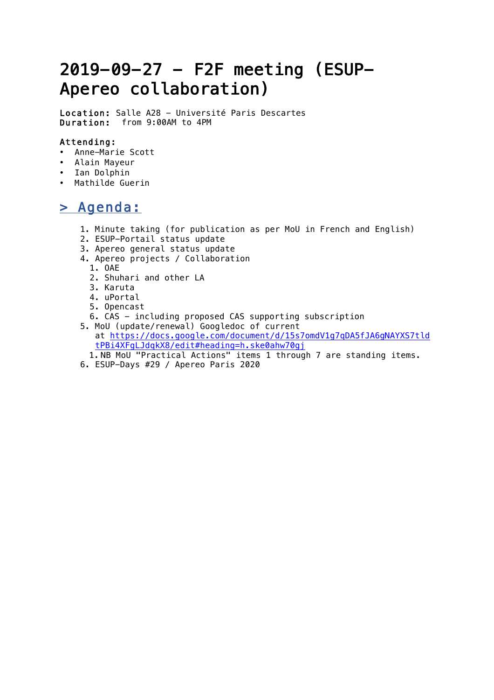# 2019-09-27 - F2F meeting (ESUP-Apereo collaboration)

Location: Salle A28 - Université Paris Descartes Duration: from 9:00AM to 4PM

#### Attending:

- Anne-Marie Scott
- Alain Mayeur
- Ian Dolphin
- Mathilde Guerin

### > Agenda:

- 1. Minute taking (for publication as per MoU in French and English)
- 2. ESUP-Portail status update
- 3. Apereo general status update
- 4. Apereo projects / Collaboration
	- 1. OAE
	- 2. Shuhari and other LA
	- 3. Karuta
	- 4. uPortal
	- 5. Opencast
	- 6. CAS including proposed CAS supporting subscription
- 5. MoU (update/renewal) Googledoc of current at https://docs.google.com/document/d/15s7omdV1g7qDA5fJA6gNAYXS7tld tPBi4XFgLJdqkX8/edit#heading=h.ske0ahw70gj
	- 1. NB MoU "Practical Actions" items 1 through 7 are standing items.
- 6. ESUP-Days #29 / Apereo Paris 2020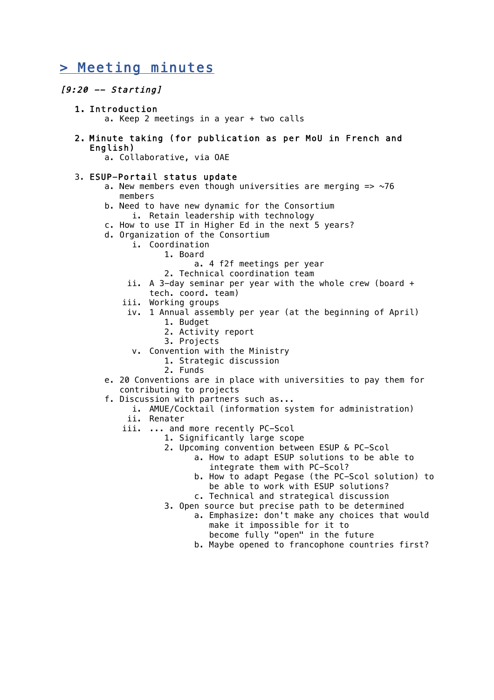## > Meeting minutes

#### $[9:20 -- Starting]$

- 1. Introduction a. Keep 2 meetings in a year + two calls
- 2. Minute taking (for publication as per MoU in French and English)

a. Collaborative, via OAE

#### 3. ESUP-Portail status update

- a. New members even though universities are merging  $\Rightarrow$  ~76 members
- b. Need to have new dynamic for the Consortium i. Retain leadership with technology
- c. How to use IT in Higher Ed in the next 5 years?
- d. Organization of the Consortium
	- i. Coordination
		- 1. Board
			- a. 4 f2f meetings per year
			- 2. Technical coordination team
	- ii. A 3-day seminar per year with the whole crew (board + tech. coord. team)
	- iii. Working groups
	- iv. 1 Annual assembly per year (at the beginning of April)
		- 1. Budget
		- 2. Activity report
		- 3. Projects
		- v. Convention with the Ministry
			- 1. Strategic discussion
			- 2. Funds
- e. 20 Conventions are in place with universities to pay them for contributing to projects
- f. Discussion with partners such as...
	- i. AMUE/Cocktail (information system for administration)
	- ii. Renater
	- iii. ... and more recently PC-Scol
		- 1. Significantly large scope
			- 2. Upcoming convention between ESUP & PC-Scol
				- a. How to adapt ESUP solutions to be able to integrate them with PC-Scol?
					- b. How to adapt Pegase (the PC-Scol solution) to be able to work with ESUP solutions? c. Technical and strategical discussion
		- 3. Open source but precise path to be determined
			- a. Emphasize: don't make any choices that would make it impossible for it to become fully "open" in the future
			- b. Maybe opened to francophone countries first?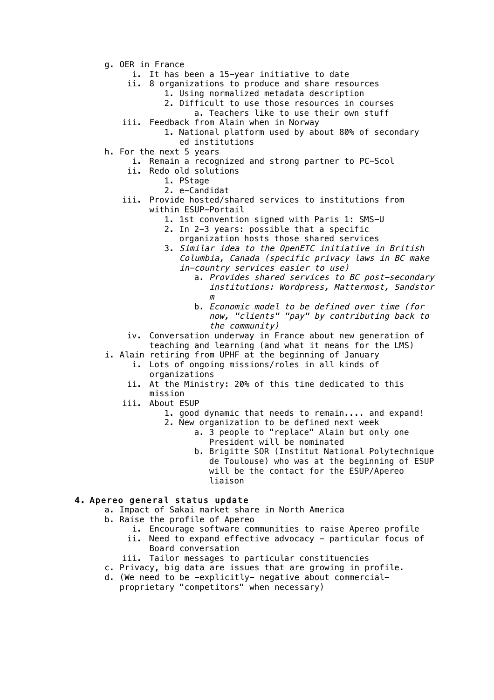- g. OER in France
	- i. It has been a 15-year initiative to date
	- ii. 8 organizations to produce and share resources
		- 1. Using normalized metadata description
			- 2. Difficult to use those resources in courses
		- a. Teachers like to use their own stuff
	- iii. Feedback from Alain when in Norway
		- 1. National platform used by about 80% of secondary ed institutions
- h. For the next 5 years
	- i. Remain a recognized and strong partner to PC-Scol
	- ii. Redo old solutions
		- 1. PStage
			- 2. e-Candidat
	- iii. Provide hosted/shared services to institutions from within ESUP-Portail
		- 1. 1st convention signed with Paris 1: SMS-U
		- 2. In 2-3 years: possible that a specific organization hosts those shared services
		- 3. Similar idea to the OpenETC initiative in British Columbia, Canada (specific privacy laws in BC make in-country services easier to use)
			- a. Provides shared services to BC post-secondary institutions: Wordpress, Mattermost, Sandstor m
			- b. Economic model to be defined over time (for now, "clients" "pay" by contributing back to the community)
		- iv. Conversation underway in France about new generation of teaching and learning (and what it means for the LMS)
- i. Alain retiring from UPHF at the beginning of January
	- i. Lots of ongoing missions/roles in all kinds of organizations
	- ii. At the Ministry: 20% of this time dedicated to this mission
	- iii. About ESUP
		- 1. good dynamic that needs to remain.... and expand!
		- 2. New organization to be defined next week
			- a. 3 people to "replace" Alain but only one President will be nominated
			- b. Brigitte SOR (Institut National Polytechnique de Toulouse) who was at the beginning of ESUP will be the contact for the ESUP/Apereo liaison

#### 4. Apereo general status update

- a. Impact of Sakai market share in North America
- b. Raise the profile of Apereo
	- i. Encourage software communities to raise Apereo profile
	- ii. Need to expand effective advocacy particular focus of Board conversation
	- iii. Tailor messages to particular constituencies
- c. Privacy, big data are issues that are growing in profile.
- d. (We need to be -explicitly- negative about commercialproprietary "competitors" when necessary)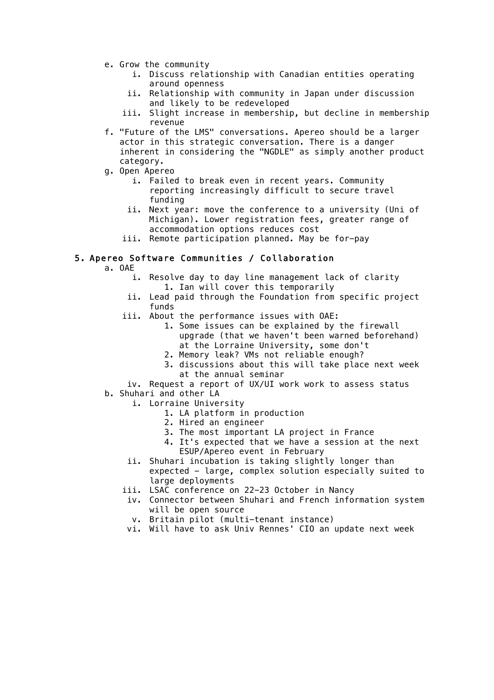- e. Grow the community
	- i. Discuss relationship with Canadian entities operating around openness
	- ii. Relationship with community in Japan under discussion and likely to be redeveloped
	- iii. Slight increase in membership, but decline in membership revenue
- f. "Future of the LMS" conversations. Apereo should be a larger actor in this strategic conversation. There is a danger inherent in considering the "NGDLE" as simply another product category.
- g. Open Apereo
	- i. Failed to break even in recent years. Community reporting increasingly difficult to secure travel funding
	- ii. Next year: move the conference to a university (Uni of Michigan). Lower registration fees, greater range of accommodation options reduces cost
	- iii. Remote participation planned. May be for-pay

#### 5. Apereo Software Communities / Collaboration

- a. OAE
	- i. Resolve day to day line management lack of clarity 1. Ian will cover this temporarily
	- ii. Lead paid through the Foundation from specific project funds
	- iii. About the performance issues with OAE:
		- 1. Some issues can be explained by the firewall upgrade (that we haven't been warned beforehand) at the Lorraine University, some don't
		- 2. Memory leak? VMs not reliable enough?
		- 3. discussions about this will take place next week at the annual seminar

iv. Request a report of UX/UI work work to assess status b. Shuhari and other LA

- i. Lorraine University
	- 1. LA platform in production
		- 2. Hired an engineer
	- 3. The most important LA project in France
	- 4. It's expected that we have a session at the next ESUP/Apereo event in February
- ii. Shuhari incubation is taking slightly longer than expected - large, complex solution especially suited to large deployments
- iii. LSAC conference on 22-23 October in Nancy
- iv. Connector between Shuhari and French information system will be open source
	- v. Britain pilot (multi-tenant instance)
- vi. Will have to ask Univ Rennes' CIO an update next week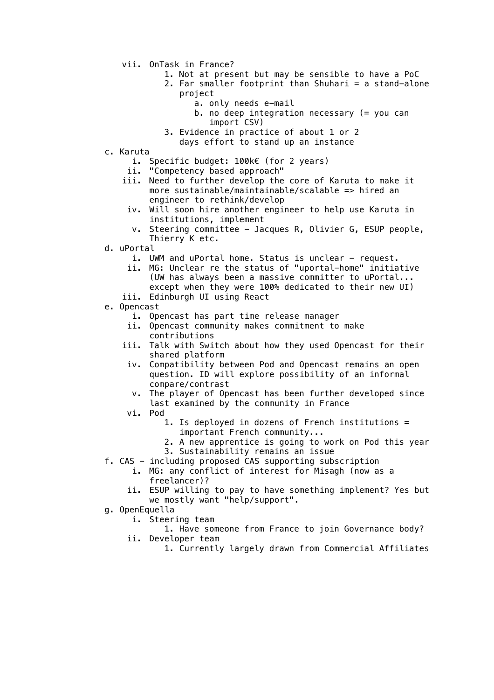- vii. OnTask in France?
	- 1. Not at present but may be sensible to have a PoC
	- 2. Far smaller footprint than Shuhari = a stand-alone project
		- a. only needs e-mail
		- b. no deep integration necessary (= you can import CSV)
	- 3. Evidence in practice of about 1 or 2 days effort to stand up an instance
- c. Karuta
	- i. Specific budget: 100k€ (for 2 years)
	- ii. "Competency based approach"
	- iii. Need to further develop the core of Karuta to make it more sustainable/maintainable/scalable => hired an engineer to rethink/develop
	- iv. Will soon hire another engineer to help use Karuta in institutions, implement
		- v. Steering committee Jacques R, Olivier G, ESUP people, Thierry K etc.
- d. uPortal
	- i. UWM and uPortal home. Status is unclear request.
	- ii. MG: Unclear re the status of "uportal-home" initiative (UW has always been a massive committer to uPortal... except when they were 100% dedicated to their new UI) iii. Edinburgh UI using React
	-
- e. Opencast
	- i. Opencast has part time release manager
	- ii. Opencast community makes commitment to make contributions
	- iii. Talk with Switch about how they used Opencast for their shared platform
		- iv. Compatibility between Pod and Opencast remains an open question. ID will explore possibility of an informal compare/contrast
		- v. The player of Opencast has been further developed since last examined by the community in France
		- vi. Pod
			- 1. Is deployed in dozens of French institutions = important French community...
			- 2. A new apprentice is going to work on Pod this year
			- 3. Sustainability remains an issue
- f. CAS including proposed CAS supporting subscription
	- i. MG: any conflict of interest for Misagh (now as a freelancer)?
	- ii. ESUP willing to pay to have something implement? Yes but we mostly want "help/support".
- g. OpenEquella
	- i. Steering team
	- 1. Have someone from France to join Governance body? ii. Developer team
		- 1. Currently largely drawn from Commercial Affiliates